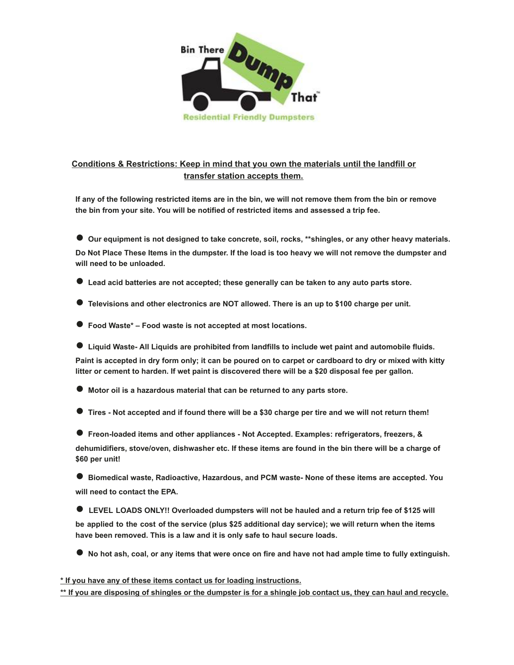

## **Conditions & Restrictions: Keep in mind that you own the materials until the landfill or transfer station accepts them.**

**If any of the following restricted items are in the bin, we will not remove them from the bin or remove the bin from your site. You will be notified of restricted items and assessed a trip fee.** 

● **Our equipment is not designed to take concrete, soil, rocks, \*\*shingles, or any other heavy materials. Do Not Place These Items in the dumpster. If the load is too heavy we will not remove the dumpster and will need to be unloaded.** 

- **Lead acid batteries are not accepted; these generally can be taken to any auto parts store.**
- Televisions and other electronics are NOT allowed. There is an up to \$100 charge per unit.
- **Food Waste\*** Food waste is not accepted at most locations.
- Liquid Waste- All Liquids are prohibited from landfills to include wet paint and automobile fluids.

**Paint is accepted in dry form only; it can be poured on to carpet or cardboard to dry or mixed with kitty litter or cement to harden. If wet paint is discovered there will be a \$20 disposal fee per gallon.** 

- **Motor oil is a hazardous material that can be returned to any parts store.**
- **Tires Not accepted and if found there will be a \$30 charge per tire and we will not return them!**

● Freon-loaded items and other appliances - Not Accepted. Examples: refrigerators, freezers, & **dehumidifiers, stove/oven, dishwasher etc. If these items are found in the bin there will be a charge of \$60 per unit!** 

● **Biomedical waste, Radioactive, Hazardous, and PCM waste- None of these items are accepted. You will need to contact the EPA.** 

- LEVEL LOADS ONLY!! Overloaded dumpsters will not be hauled and a return trip fee of \$125 will **be applied to the cost of the service (plus \$25 additional day service); we will return when the items have been removed. This is a law and it is only safe to haul secure loads.**
- **No hot ash, coal, or any items that were once on fire and have not had ample time to fully extinguish.**

**\* If you have any of these items contact us for loading instructions.** 

**\*\* If you are disposing of shingles or the dumpster is for a shingle job contact us, they can haul and recycle.**